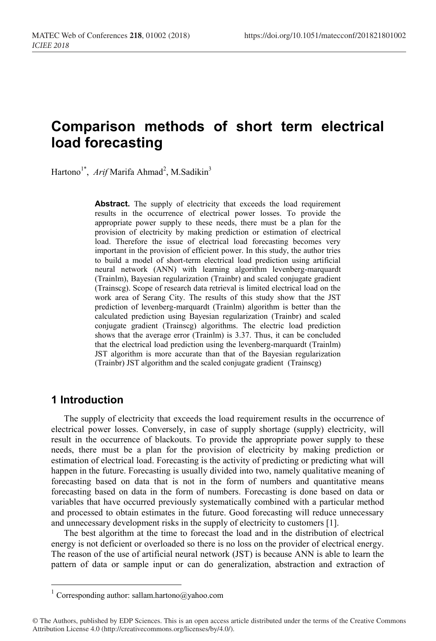# **Comparison methods of short term electrical load forecasting**

Hartono<sup>1\*</sup>, Arif Marifa Ahmad<sup>2</sup>, M.Sadikin<sup>3</sup>

Abstract. The supply of electricity that exceeds the load requirement results in the occurrence of electrical power losses. To provide the appropriate power supply to these needs, there must be a plan for the provision of electricity by making prediction or estimation of electrical load. Therefore the issue of electrical load forecasting becomes very important in the provision of efficient power. In this study, the author tries to build a model of short-term electrical load prediction using artificial neural network (ANN) with learning algorithm levenberg-marquardt (Trainlm), Bayesian regularization (Trainbr) and scaled conjugate gradient (Trainscg). Scope of research data retrieval is limited electrical load on the work area of Serang City. The results of this study show that the JST prediction of levenberg-marquardt (Trainlm) algorithm is better than the calculated prediction using Bayesian regularization (Trainbr) and scaled conjugate gradient (Trainscg) algorithms. The electric load prediction shows that the average error (Trainlm) is 3.37. Thus, it can be concluded that the electrical load prediction using the levenberg-marquardt (Trainlm) JST algorithm is more accurate than that of the Bayesian regularization (Trainbr) JST algorithm and the scaled conjugate gradient (Trainscg)

## **1 Introduction**

The supply of electricity that exceeds the load requirement results in the occurrence of electrical power losses. Conversely, in case of supply shortage (supply) electricity, will result in the occurrence of blackouts. To provide the appropriate power supply to these needs, there must be a plan for the provision of electricity by making prediction or estimation of electrical load. Forecasting is the activity of predicting or predicting what will happen in the future. Forecasting is usually divided into two, namely qualitative meaning of forecasting based on data that is not in the form of numbers and quantitative means forecasting based on data in the form of numbers. Forecasting is done based on data or variables that have occurred previously systematically combined with a particular method and processed to obtain estimates in the future. Good forecasting will reduce unnecessary and unnecessary development risks in the supply of electricity to customers [1].

The best algorithm at the time to forecast the load and in the distribution of electrical energy is not deficient or overloaded so there is no loss on the provider of electrical energy. The reason of the use of artificial neural network (JST) is because ANN is able to learn the pattern of data or sample input or can do generalization, abstraction and extraction of

 $^{\rm 1}$  Corresponding author: sallam.hartono@yahoo.com

<sup>©</sup> The Authors, published by EDP Sciences. This is an open access article distributed under the terms of the Creative Commons Attribution License 4.0 (http://creativecommons.org/licenses/by/4.0/).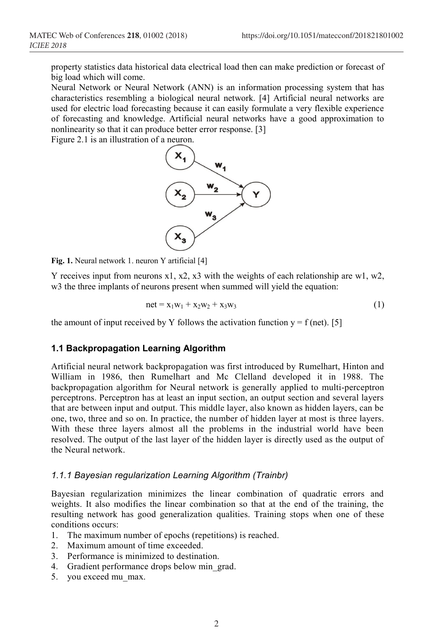property statistics data historical data electrical load then can make prediction or forecast of big load which will come.

Neural Network or Neural Network (ANN) is an information processing system that has characteristics resembling a biological neural network. [4] Artificial neural networks are used for electric load forecasting because it can easily formulate a very flexible experience of forecasting and knowledge. Artificial neural networks have a good approximation to nonlinearity so that it can produce better error response. [3]

Figure 2.1 is an illustration of a neuron.



**Fig. 1.** Neural network 1. neuron Y artificial [4]

Y receives input from neurons x1, x2, x3 with the weights of each relationship are w1, w2, w3 the three implants of neurons present when summed will yield the equation:

$$
net = x_1w_1 + x_2w_2 + x_3w_3 \tag{1}
$$

the amount of input received by Y follows the activation function  $y = f$  (net). [5]

#### **1.1 Backpropagation Learning Algorithm**

Artificial neural network backpropagation was first introduced by Rumelhart, Hinton and William in 1986, then Rumelhart and Mc Clelland developed it in 1988. The backpropagation algorithm for Neural network is generally applied to multi-perceptron perceptrons. Perceptron has at least an input section, an output section and several layers that are between input and output. This middle layer, also known as hidden layers, can be one, two, three and so on. In practice, the number of hidden layer at most is three layers. With these three layers almost all the problems in the industrial world have been resolved. The output of the last layer of the hidden layer is directly used as the output of the Neural network.

#### *1.1.1 Bayesian regularization Learning Algorithm (Trainbr)*

Bayesian regularization minimizes the linear combination of quadratic errors and weights. It also modifies the linear combination so that at the end of the training, the resulting network has good generalization qualities. Training stops when one of these conditions occurs:

- 1. The maximum number of epochs (repetitions) is reached.
- 2 Maximum amount of time exceeded
- 3. Performance is minimized to destination.
- 4. Gradient performance drops below min\_grad.
- 5. you exceed mu\_max.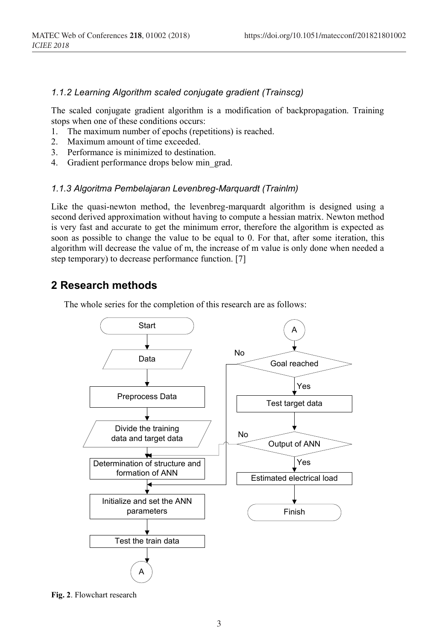#### *1.1.2 Learning Algorithm scaled conjugate gradient (Trainscg)*

The scaled conjugate gradient algorithm is a modification of backpropagation. Training stops when one of these conditions occurs:

- 1. The maximum number of epochs (repetitions) is reached.
- 2. Maximum amount of time exceeded.
- 3. Performance is minimized to destination.
- 4. Gradient performance drops below min\_grad.

#### *1.1.3 Algoritma Pembelajaran Levenbreg-Marquardt (Trainlm)*

Like the quasi-newton method, the levenbreg-marquardt algorithm is designed using a second derived approximation without having to compute a hessian matrix. Newton method is very fast and accurate to get the minimum error, therefore the algorithm is expected as soon as possible to change the value to be equal to 0. For that, after some iteration, this algorithm will decrease the value of m, the increase of m value is only done when needed a step temporary) to decrease performance function. [7]

### **2 Research methods**

The whole series for the completion of this research are as follows:



**Fig. 2**. Flowchart research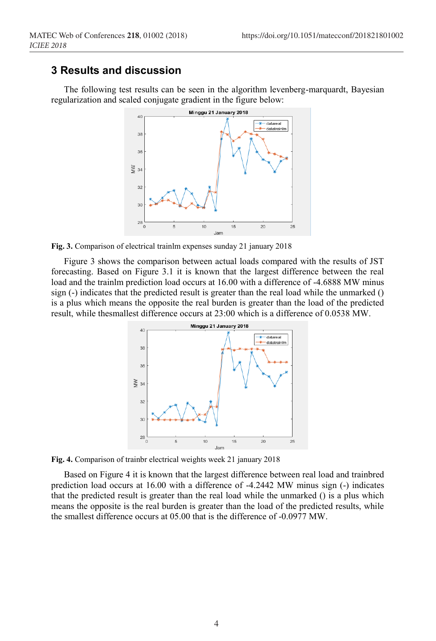## **3 Results and discussion**

The following test results can be seen in the algorithm levenberg-marquardt, Bayesian regularization and scaled conjugate gradient in the figure below:



**Fig. 3.** Comparison of electrical trainlm expenses sunday 21 january 2018

Figure 3 shows the comparison between actual loads compared with the results of JST forecasting. Based on Figure 3.1 it is known that the largest difference between the real load and the trainlm prediction load occurs at 16.00 with a difference of -4.6888 MW minus sign (-) indicates that the predicted result is greater than the real load while the unmarked () is a plus which means the opposite the real burden is greater than the load of the predicted result, while thesmallest difference occurs at 23:00 which is a difference of 0.0538 MW.



**Fig. 4.** Comparison of trainbr electrical weights week 21 january 2018

Based on Figure 4 it is known that the largest difference between real load and trainbred prediction load occurs at 16.00 with a difference of -4.2442 MW minus sign (-) indicates that the predicted result is greater than the real load while the unmarked () is a plus which means the opposite is the real burden is greater than the load of the predicted results, while the smallest difference occurs at 05.00 that is the difference of -0.0977 MW.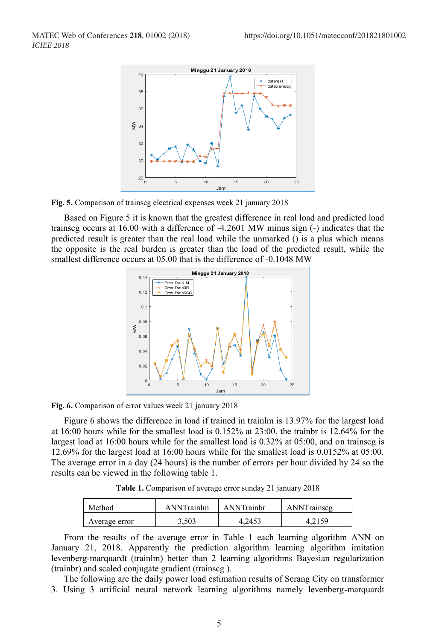

**Fig. 5.** Comparison of trainscg electrical expenses week 21 january 2018

Based on Figure 5 it is known that the greatest difference in real load and predicted load trainscg occurs at 16.00 with a difference of -4.2601 MW minus sign (-) indicates that the predicted result is greater than the real load while the unmarked () is a plus which means the opposite is the real burden is greater than the load of the predicted result, while the smallest difference occurs at 05.00 that is the difference of -0.1048 MW



**Fig. 6.** Comparison of error values week 21 january 2018

Figure 6 shows the difference in load if trained in trainlm is 13.97% for the largest load at 16:00 hours while for the smallest load is 0.152% at 23:00, the trainbr is 12.64% for the largest load at 16:00 hours while for the smallest load is 0.32% at 05:00, and on trainscg is 12.69% for the largest load at 16:00 hours while for the smallest load is 0.0152% at 05:00. The average error in a day (24 hours) is the number of errors per hour divided by 24 so the results can be viewed in the following table 1.

**Table 1.** Comparison of average error sunday 21 january 2018

| Method        | ANNTrainlm | ANNTrainbr | ANNTrainscg |
|---------------|------------|------------|-------------|
| Average error | 3.503      | 4.2453     |             |

From the results of the average error in Table 1 each learning algorithm ANN on January 21, 2018. Apparently the prediction algorithm learning algorithm imitation levenberg-marquardt (trainlm) better than 2 learning algorithms Bayesian regularization (trainbr) and scaled conjugate gradient (trainscg ).

The following are the daily power load estimation results of Serang City on transformer 3. Using 3 artificial neural network learning algorithms namely levenberg-marquardt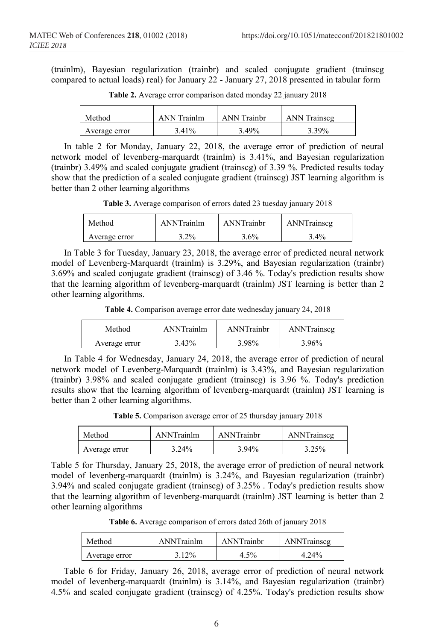(trainlm), Bayesian regularization (trainbr) and scaled conjugate gradient (trainscg compared to actual loads) real) for January 22 - January 27, 2018 presented in tabular form

| Method        | <b>ANN</b> Trainlm | <b>ANN</b> Trainbr | <b>ANN</b> Trainscg |
|---------------|--------------------|--------------------|---------------------|
| Average error | 3.41 <sup>%</sup>  | 3.49%              | 3.39%               |

**Table 2.** Average error comparison dated monday 22 january 2018

In table 2 for Monday, January 22, 2018, the average error of prediction of neural network model of levenberg-marquardt (trainlm) is 3.41%, and Bayesian regularization (trainbr) 3.49% and scaled conjugate gradient (trainscg) of 3.39 %. Predicted results today show that the prediction of a scaled conjugate gradient (trainscg) JST learning algorithm is better than 2 other learning algorithms

**Table 3.** Average comparison of errors dated 23 tuesday january 2018

| Method        | <b>ANNTrainlm</b> | ANNTrainbr | ANNTrainscg |
|---------------|-------------------|------------|-------------|
| Average error | $3.2\%$           | $3.6\%$    | $3.4\%$     |

In Table 3 for Tuesday, January 23, 2018, the average error of predicted neural network model of Levenberg-Marquardt (trainlm) is 3.29%, and Bayesian regularization (trainbr) 3.69% and scaled conjugate gradient (trainscg) of 3.46 %. Today's prediction results show that the learning algorithm of levenberg-marquardt (trainlm) JST learning is better than 2 other learning algorithms.

**Table 4.** Comparison average error date wednesday january 24, 2018

| Method        | ANNTrainlm | ANNTrainbr | ANNTrainscg |
|---------------|------------|------------|-------------|
| Average error | 3.43%      | } 98%      | 3 96%       |

In Table 4 for Wednesday, January 24, 2018, the average error of prediction of neural network model of Levenberg-Marquardt (trainlm) is 3.43%, and Bayesian regularization (trainbr) 3.98% and scaled conjugate gradient (trainscg) is 3.96 %. Today's prediction results show that the learning algorithm of levenberg-marquardt (trainlm) JST learning is better than 2 other learning algorithms.

**Table 5.** Comparison average error of 25 thursday january 2018

| Method        | ANNTrainlm | ANNTrainhr | ANNTrainscg |
|---------------|------------|------------|-------------|
| Average error | $3.24\%$   | 3.94%      | 3.25%       |

Table 5 for Thursday, January 25, 2018, the average error of prediction of neural network model of levenberg-marquardt (trainlm) is 3.24%, and Bayesian regularization (trainbr) 3.94% and scaled conjugate gradient (trainscg) of 3.25% . Today's prediction results show that the learning algorithm of levenberg-marquardt (trainlm) JST learning is better than 2 other learning algorithms

**Table 6.** Average comparison of errors dated 26th of january 2018

| Method        | ANNTrainlm | ANNTrainbr | ANNTrainscg |
|---------------|------------|------------|-------------|
| Average error | $12\%$     | 4.5%       | 4.24%       |

Table 6 for Friday, January 26, 2018, average error of prediction of neural network model of levenberg-marquardt (trainlm) is 3.14%, and Bayesian regularization (trainbr) 4.5% and scaled conjugate gradient (trainscg) of 4.25%. Today's prediction results show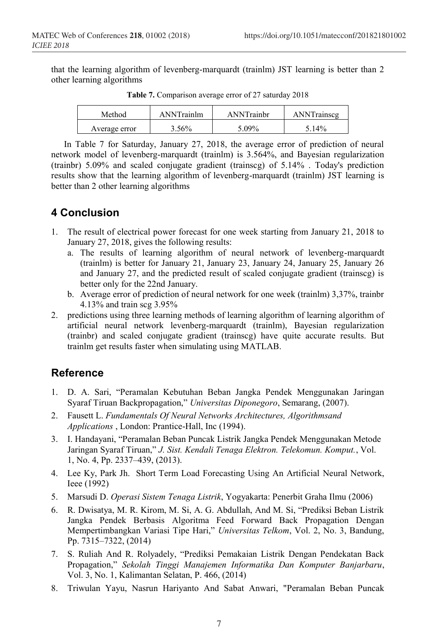that the learning algorithm of levenberg-marquardt (trainlm) JST learning is better than 2 other learning algorithms

| Method        | ANNTrainlm | ANNTrainbr | ANNTrainscg |
|---------------|------------|------------|-------------|
| Average error | 56%        | $-09\%$    | 5.14%       |

**Table 7.** Comparison average error of 27 saturday 2018

In Table 7 for Saturday, January 27, 2018, the average error of prediction of neural network model of levenberg-marquardt (trainlm) is 3.564%, and Bayesian regularization (trainbr) 5.09% and scaled conjugate gradient (trainscg) of 5.14% . Today's prediction results show that the learning algorithm of levenberg-marquardt (trainlm) JST learning is better than 2 other learning algorithms

## **4 Conclusion**

- 1. The result of electrical power forecast for one week starting from January 21, 2018 to January 27, 2018, gives the following results:
	- a. The results of learning algorithm of neural network of levenberg-marquardt (trainlm) is better for January 21, January 23, January 24, January 25, January 26 and January 27, and the predicted result of scaled conjugate gradient (trainscg) is better only for the 22nd January.
	- b. Average error of prediction of neural network for one week (trainlm) 3,37%, trainbr 4.13% and train scg 3.95%
- 2. predictions using three learning methods of learning algorithm of learning algorithm of artificial neural network levenberg-marquardt (trainlm), Bayesian regularization (trainbr) and scaled conjugate gradient (trainscg) have quite accurate results. But trainlm get results faster when simulating using MATLAB.

## **Reference**

- 1. D. A. Sari, "Peramalan Kebutuhan Beban Jangka Pendek Menggunakan Jaringan Syaraf Tiruan Backpropagation," *Universitas Diponegoro*, Semarang, (2007).
- 2. Fausett L. *Fundamentals Of Neural Networks Architectures, Algorithmsand Applications* , London: Prantice-Hall, Inc (1994).
- 3. I. Handayani, "Peramalan Beban Puncak Listrik Jangka Pendek Menggunakan Metode Jaringan Syaraf Tiruan," *J. Sist. Kendali Tenaga Elektron. Telekomun. Komput.*, Vol. 1, No. 4, Pp. 2337–439, (2013).
- 4. Lee Ky, Park Jh. Short Term Load Forecasting Using An Artificial Neural Network, Ieee (1992)
- 5. Marsudi D. *Operasi Sistem Tenaga Listrik*, Yogyakarta: Penerbit Graha Ilmu (2006)
- 6. R. Dwisatya, M. R. Kirom, M. Si, A. G. Abdullah, And M. Si, "Prediksi Beban Listrik Jangka Pendek Berbasis Algoritma Feed Forward Back Propagation Dengan Mempertimbangkan Variasi Tipe Hari," *Universitas Telkom*, Vol. 2, No. 3, Bandung, Pp. 7315–7322, (2014)
- 7. S. Ruliah And R. Rolyadely, "Prediksi Pemakaian Listrik Dengan Pendekatan Back Propagation," *Sekolah Tinggi Manajemen Informatika Dan Komputer Banjarbaru*, Vol. 3, No. 1, Kalimantan Selatan, P. 466, (2014)
- 8. Triwulan Yayu, Nasrun Hariyanto And Sabat Anwari, "Peramalan Beban Puncak